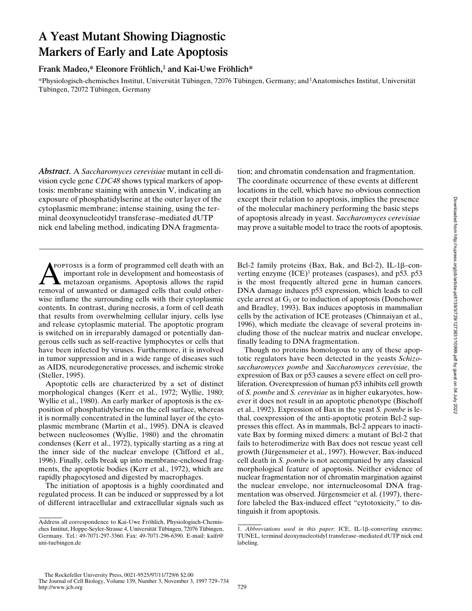# **A Yeast Mutant Showing Diagnostic Markers of Early and Late Apoptosis**

## **Frank Madeo,\* Eleonore Fröhlich,‡ and Kai-Uwe Fröhlich\***

\*Physiologisch-chemisches Institut, Universität Tübingen, 72076 Tübingen, Germany; and ‡ Anatomisches Institut, Universität Tübingen, 72072 Tübingen, Germany

*Abstract.* A *Saccharomyces cerevisiae* mutant in cell division cycle gene *CDC48* shows typical markers of apoptosis: membrane staining with annexin V, indicating an exposure of phosphatidylserine at the outer layer of the cytoplasmic membrane; intense staining, using the terminal deoxynucleotidyl transferase–mediated dUTP nick end labeling method, indicating DNA fragmenta-

**A** reprosis is a form of programmed cell death with an important role in development and homeostasis of metazoan organisms. Apoptosis allows the rapid removal of unwanted or damaged cells that could otherpoptosis is a form of programmed cell death with an important role in development and homeostasis of metazoan organisms. Apoptosis allows the rapid wise inflame the surrounding cells with their cytoplasmic contents. In contrast, during necrosis, a form of cell death that results from overwhelming cellular injury, cells lyse and release cytoplasmic material. The apoptotic program is switched on in irreparably damaged or potentially dangerous cells such as self-reactive lymphocytes or cells that have been infected by viruses. Furthermore, it is involved in tumor suppression and in a wide range of diseases such as AIDS, neurodegenerative processes, and ischemic stroke (Steller, 1995).

Apoptotic cells are characterized by a set of distinct morphological changes (Kerr et al., 1972; Wyllie, 1980; Wyllie et al., 1980). An early marker of apoptosis is the exposition of phosphatidylserine on the cell surface, whereas it is normally concentrated in the luminal layer of the cytoplasmic membrane (Martin et al., 1995). DNA is cleaved between nucleosomes (Wyllie, 1980) and the chromatin condenses (Kerr et al., 1972), typically starting as a ring at the inner side of the nuclear envelope (Clifford et al., 1996). Finally, cells break up into membrane-enclosed fragments, the apoptotic bodies (Kerr et al., 1972), which are rapidly phagocytosed and digested by macrophages.

The initiation of apoptosis is a highly coordinated and regulated process. It can be induced or suppressed by a lot of different intracellular and extracellular signals such as tion; and chromatin condensation and fragmentation. The coordinate occurrence of these events at different locations in the cell, which have no obvious connection except their relation to apoptosis, implies the presence of the molecular machinery performing the basic steps of apoptosis already in yeast. *Saccharomyces cerevisiae* may prove a suitable model to trace the roots of apoptosis.

Bcl-2 family proteins (Bax, Bak, and Bcl-2), IL-1β-converting enzyme (ICE)<sup>1</sup> proteases (caspases), and p53. p53 is the most frequently altered gene in human cancers. DNA damage induces p53 expression, which leads to cell cycle arrest at  $G_1$  or to induction of apoptosis (Donehower and Bradley, 1993). Bax induces apoptosis in mammalian cells by the activation of ICE proteases (Chinnaiyan et al., 1996), which mediate the cleavage of several proteins including those of the nuclear matrix and nuclear envelope, finally leading to DNA fragmentation.

Though no proteins homologous to any of these apoptotic regulators have been detected in the yeasts *Schizosaccharomyces pombe* and *Saccharomyces cerevisiae*, the expression of Bax or p53 causes a severe effect on cell proliferation. Overexpression of human p53 inhibits cell growth of *S. pombe* and *S. cerevisiae* as in higher eukaryotes, however it does not result in an apoptotic phenotype (Bischoff et al., 1992). Expression of Bax in the yeast *S. pombe* is lethal, coexpression of the anti-apoptotic protein Bcl-2 suppresses this effect. As in mammals, Bcl-2 appears to inactivate Bax by forming mixed dimers: a mutant of Bcl-2 that fails to heterodimerize with Bax does not rescue yeast cell growth (Jürgensmeier et al., 1997). However, Bax-induced cell death in *S. pombe* is not accompanied by any classical morphological feature of apoptosis. Neither evidence of nuclear fragmentation nor of chromatin margination against the nuclear envelope, nor internucleosomal DNA fragmentation was observed. Jürgensmeier et al. (1997), therefore labeled the Bax-induced effect "cytotoxicity," to distinguish it from apoptosis.

Address all correspondence to Kai-Uwe Fröhlich, Physiologisch-Chemisches Institut, Hoppe-Seyler-Strasse 4, Universität Tübingen, 72076 Tübingen, Germany. Tel.: 49-7071-297-3360. Fax: 49-7071-296-6390. E-mail: kaifr@ uni-tuebingen.de

<sup>1.</sup> *Abbreviations used in this paper*: ICE, IL-1b–converting enzyme; TUNEL, terminal deoxynucleotidyl transferase–mediated dUTP nick end labeling.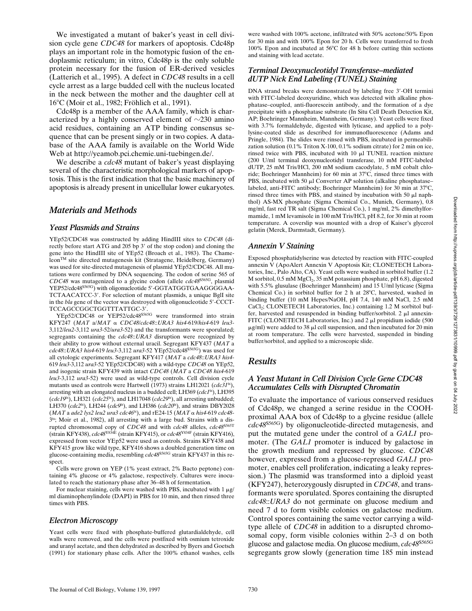We investigated a mutant of baker's yeast in cell division cycle gene *CDC48* for markers of apoptosis. Cdc48p plays an important role in the homotypic fusion of the endoplasmic reticulum; in vitro, Cdc48p is the only soluble protein necessary for the fusion of ER-derived vesicles (Latterich et al., 1995). A defect in *CDC48* results in a cell cycle arrest as a large budded cell with the nucleus located in the neck between the mother and the daughter cell at 168C (Moir et al., 1982; Fröhlich et al., 1991).

Cdc48p is a member of the AAA family, which is characterized by a highly conserved element of  $\sim$ 230 amino acid residues, containing an ATP binding consensus sequence that can be present singly or in two copies. A database of the AAA family is available on the World Wide Web at http://yeamob.pci.chemie.uni-tuebingen.de/.

We describe a *cdc48* mutant of baker's yeast displaying several of the characteristic morphological markers of apoptosis. This is the first indication that the basic machinery of apoptosis is already present in unicellular lower eukaryotes.

## *Materials and Methods*

#### *Yeast Plasmids and Strains*

YEp52/CDC48 was constructed by adding HindIII sites to *CDC48* (directly before start ATG and 205 bp 3' of the stop codon) and cloning the gene into the HindIII site of YEp52 (Broach et al., 1983). The ChameleonTM site directed mutagenesis kit (Stratagene, Heidelberg, Germany) was used for site-directed mutagenesis of plasmid YEp52/CDC48. All mutations were confirmed by DNA sequencing. The codon of serine 565 of *CDC48* was mutagenized to a glycine codon (allele *cdc48*S565G, plasmid YEP52/cdc48S565G) with oligonucleotide 5'-GGTATGGTGAAGGGGAA-TCTAACATCC-3'. For selection of mutant plasmids, a unique BglI site in the *bla* gene of the vector was destroyed with oligonucleotide 5'-CCCT-TCCAGCCGGCTGGTTTATTGC-3'

YEp52/CDC48 or YEP52/cdc48S565G were transformed into strain KFY247 (*MAT* a/*MAT* a *CDC48*/*cdc48*::*URA3 his4*-619/*his4*-619 *leu3*- 3,112/*leu2*-3,112 *ura3*-52/*ura3*-52) and the transformants were sporulated; segregants containing the *cdc48*::*URA3* disruption were recognized by their ability to grow without external uracil. Segregant KFY437 (*MAT* a *cdc48*::*URA3 his4*-619 *leu3*-3,112 *ura3*-52 YEp52/cdc48S565G) was used for all cytologic experiments. Segregant KFY417 (*MAT* a *cdc48*::*URA3 his4*- 619 *leu3*-3,112 *ura3*-52 YEp52/CDC48) with a wild-type *CDC48* on YEp52, and isogenic strain KFY439 with intact *CDC48* (*MAT* a *CDC48 his4*-619 *leu3*-3,112 *ura3*-52) were used as wild-type controls. Cell division cycle mutants used as controls were Hartwell (1973) strains LH12021 (*cdc31<sup>ts</sup>*), arresting with an elongated nucleus in a budded cell; LH369 (*cdc1*ts), LH395 (*cdc19*ts), LH321 (*cdc25*ts), and LH17048 (*cdc29*ts), all arresting unbudded; LH370 (*cdc2*ts), LH244 (*cdc9*ts), and LH386 (*cdc20*ts), and strains DBY2028 (*MAT* a *ade2 lys2 leu2 ura3 cdc46*ts), and rE24-15 (*MAT* a *his4*-619 *cdc48*- 3ts; Moir et al., 1982), all arresting with a large bud. Strains with a disrupted chromosomal copy of *CDC48* and with *cdc48* alleles, *cdc48*<sup>S565T</sup> (strain KFY438), *cdc48*Y834E (strain KFY415), or *cdc48*Y834F (strain KFY416), expressed from vector YEp52 were used as controls. Strains KFY438 and KFY415 grow like wild type, KFY416 shows a doubled generation time on glucose-containing media, resembling *cdc48*S565G strain KFY437 in this respect.

Cells were grown on YEP (1% yeast extract, 2% Bacto peptone) containing 4% glucose or 4% galactose, respectively. Cultures were inoculated to reach the stationary phase after 36–48 h of fermentation.

For nuclear staining, cells were washed with PBS, incubated with  $1 \mu g$ / ml diaminophenylindole (DAPI) in PBS for 10 min, and then rinsed three times with PBS.

#### *Electron Microscopy*

Yeast cells were fixed with phosphate-buffered glutardialdehyde, cell walls were removed, and the cells were postfixed with osmium tetroxide and uranyl acetate, and then dehydrated as described by Byers and Goetsch (1991) for stationary phase cells. After the 100% ethanol washes, cells

were washed with 100% acetone, infiltrated with 50% acetone/50% Epon for 30 min and with 100% Epon for 20 h. Cells were transferred to fresh 100% Epon and incubated at  $56^{\circ}$ C for 48 h before cutting thin sections and staining with lead acetate.

#### *Terminal Deoxynucleotidyl Transferase–mediated dUTP Nick End Labeling (TUNEL) Staining*

DNA strand breaks were demonstrated by labeling free 3'-OH termini with FITC-labeled deoxyuridine, which was detected with alkaline phosphatase–coupled, anti-fluorescein antibody, and the formation of a dye precipitate with a phosphatase substrate (In Situ Cell Death Detection Kit, AP; Boehringer Mannheim, Mannheim, Germany). Yeast cells were fixed with 3.7% formaldehyde, digested with lyticase, and applied to a polylysine-coated slide as described for immunofluorescence (Adams and Pringle, 1984). The slides were rinsed with PBS, incubated in permeabilization solution (0.1% Triton X-100, 0.1% sodium citrate) for 2 min on ice, rinsed twice with PBS, incubated with  $10 \mu$ I TUNEL reaction mixture (200 U/ml terminal deoxynucleotidyl transferase, 10 mM FITC-labeled dUTP, 25 mM Tris/HCl, 200 mM sodium cacodylate, 5 mM cobalt chloride; Boehringer Mannheim) for 60 min at 37°C, rinsed three times with PBS, incubated with 50  $\mu$ l Converter AP solution (alkaline phosphatase– labeled, anti-FITC antibody; Boehringer Mannheim) for 30 min at 37°C, rinsed three times with PBS, and stained by incubation with 50  $\mu$ l naphthol) AS-MX phosphate (Sigma Chemical Co., Munich, Germany), 0.8 mg/ml, fast red TR salt (Sigma Chemical Co.), 1 mg/ml, 2% dimethylformamide, 1 mM levamisole in 100 mM Tris/HCl, pH 8.2, for 30 min at room temperature. A coverslip was mounted with a drop of Kaiser's glycerol gelatin (Merck, Darmstadt, Germany).

#### *Annexin V Staining*

Exposed phosphatidylserine was detected by reaction with FITC-coupled annexin V (ApoAlert Annexin V Apoptosis Kit; CLONETECH Laboratories, Inc., Palo Alto, CA). Yeast cells were washed in sorbitol buffer (1.2 M sorbitol,  $0.5$  mM MgCl<sub>2</sub>,  $35$  mM potassium phosphate, pH 6.8), digested with 5.5% glusulase (Boehringer Mannheim) and 15 U/ml lyticase (Sigma Chemical Co.) in sorbitol buffer for 2 h at 28°C, harvested, washed in binding buffer (10 mM Hepes/NaOH, pH 7.4, 140 mM NaCl, 2.5 mM CaCl<sub>2</sub>; CLONETECH Laboratories, Inc.) containing 1.2 M sorbitol buffer, harvested and resuspended in binding buffer/sorbitol.  $2 \mu l$  annexin-FITC (CLONETECH Laboratories, Inc.) and 2 µl propidium iodide (500  $\mu$ g/ml) were added to 38  $\mu$ l cell suspension, and then incubated for 20 min at room temperature. The cells were harvested, suspended in binding buffer/sorbitol, and applied to a microscopic slide.

#### *Results*

#### *A Yeast Mutant in Cell Division Cycle Gene CDC48 Accumulates Cells with Disrupted Chromatin*

To evaluate the importance of various conserved residues of Cdc48p, we changed a serine residue in the COOHproximal AAA box of Cdc48p to a glycine residue (allele *cdc48*S565G) by oligonucleotide-directed mutagenesis, and put the mutated gene under the control of a *GAL1* promoter. (The *GAL1* promoter is induced by galactose in the growth medium and repressed by glucose. *CDC48* however, expressed from a glucose-repressed *GAL1* promoter, enables cell proliferation, indicating a leaky repression.) The plasmid was transformed into a diploid yeast (KFY247), heterozygously disrupted in *CDC48*, and transformants were sporulated. Spores containing the disrupted *cdc48*::*URA3* do not germinate on glucose medium and need 7 d to form visible colonies on galactose medium. Control spores containing the same vector carrying a wildtype allele of *CDC48* in addition to a disrupted chromosomal copy, form visible colonies within 2–3 d on both glucose and galactose media. On glucose medium, *cdc48*S565G segregants grow slowly (generation time 185 min instead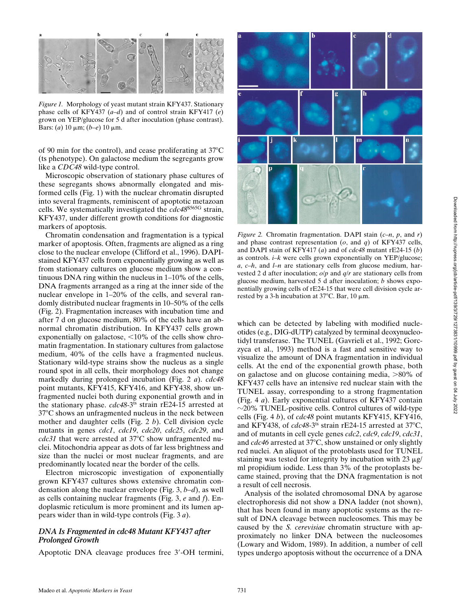*Figure 1.* Morphology of yeast mutant strain KFY437. Stationary phase cells of KFY437 (*a*–*d*) and of control strain KFY417 (*e*) grown on YEP/glucose for 5 d after inoculation (phase contrast). Bars: (*a*) 10 mm; (*b–e*) 10 mm.

of 90 min for the control), and cease proliferating at  $37^{\circ}$ C (ts phenotype). On galactose medium the segregants grow like a *CDC48* wild-type control.

Microscopic observation of stationary phase cultures of these segregants shows abnormally elongated and misformed cells (Fig. 1) with the nuclear chromatin disrupted into several fragments, reminiscent of apoptotic metazoan cells. We systematically investigated the *cdc48*S565G strain, KFY437, under different growth conditions for diagnostic markers of apoptosis.

Chromatin condensation and fragmentation is a typical marker of apoptosis. Often, fragments are aligned as a ring close to the nuclear envelope (Clifford et al., 1996). DAPIstained KFY437 cells from exponentially growing as well as from stationary cultures on glucose medium show a continuous DNA ring within the nucleus in 1–10% of the cells, DNA fragments arranged as a ring at the inner side of the nuclear envelope in 1–20% of the cells, and several randomly distributed nuclear fragments in 10–50% of the cells (Fig. 2). Fragmentation increases with incubation time and after 7 d on glucose medium, 80% of the cells have an abnormal chromatin distribution. In KFY437 cells grown exponentially on galactose,  $\leq 10\%$  of the cells show chromatin fragmentation. In stationary cultures from galactose medium, 40% of the cells have a fragmented nucleus. Stationary wild-type strains show the nucleus as a single round spot in all cells, their morphology does not change markedly during prolonged incubation (Fig. 2 *a*). *cdc48* point mutants, KFY415, KFY416, and KFY438, show unfragmented nuclei both during exponential growth and in the stationary phase. *cdc48*-3<sup>ts</sup> strain rE24-15 arrested at  $37^{\circ}$ C shows an unfragmented nucleus in the neck between mother and daughter cells (Fig. 2 *b*). Cell division cycle mutants in genes *cdc1*, *cdc19*, *cdc20*, *cdc25*, *cdc29*, and *cdc31* that were arrested at 37°C show unfragmented nuclei. Mitochondria appear as dots of far less brightness and size than the nuclei or most nuclear fragments, and are predominantly located near the border of the cells.

Electron microscopic investigation of exponentially grown KFY437 cultures shows extensive chromatin condensation along the nuclear envelope (Fig. 3, *b–d*), as well as cells containing nuclear fragments (Fig. 3, *e* and *f*). Endoplasmic reticulum is more prominent and its lumen appears wider than in wild-type controls (Fig. 3 *a*).

#### *DNA Is Fragmented in cdc48 Mutant KFY437 after Prolonged Growth*

Apoptotic DNA cleavage produces free 3'-OH termini,



*Figure 2.* Chromatin fragmentation. DAPI stain (*c–n*, *p*, and *r*) and phase contrast representation (*o*, and *q*) of KFY437 cells, and DAPI stain of KFY417 (*a*) and of *cdc48* mutant rE24-15 (*b*) as controls. *i–k* were cells grown exponentially on YEP/glucose; *a*, *c–h*, and *l–n* are stationary cells from glucose medium, harvested 2 d after inoculation; *o*/*p* and *q*/*r* are stationary cells from glucose medium, harvested 5 d after inoculation; *b* shows exponentially growing cells of rE24-15 that were cell division cycle arrested by a 3-h incubation at  $37^{\circ}$ C. Bar, 10  $\mu$ m.

which can be detected by labeling with modified nucleotides (e.g., DIG-dUTP) catalyzed by terminal deoxynucleotidyl transferase. The TUNEL (Gavrieli et al., 1992; Gorczyca et al., 1993) method is a fast and sensitive way to visualize the amount of DNA fragmentation in individual cells. At the end of the exponential growth phase, both on galactose and on glucose containing media,  $>80\%$  of KFY437 cells have an intensive red nuclear stain with the TUNEL assay, corresponding to a strong fragmentation (Fig. 4 *a*). Early exponential cultures of KFY437 contain  $\sim$ 20% TUNEL-positive cells. Control cultures of wild-type cells (Fig. 4 *b*), of *cdc48* point mutants KFY415, KFY416, and KFY438, of  $cdc48-3$ <sup>ts</sup> strain rE24-15 arrested at  $37^{\circ}$ C, and of mutants in cell cycle genes *cdc2*, *cdc9*, *cdc19*, *cdc31*, and *cdc46* arrested at 37°C, show unstained or only slightly red nuclei. An aliquot of the protoblasts used for TUNEL staining was tested for integrity by incubation with 23  $\mu$ g/ ml propidium iodide. Less than 3% of the protoplasts became stained, proving that the DNA fragmentation is not a result of cell necrosis.

Analysis of the isolated chromosomal DNA by agarose electrophoresis did not show a DNA ladder (not shown), that has been found in many apoptotic systems as the result of DNA cleavage between nucleosomes. This may be caused by the *S. cerevisiae* chromatin structure with approximately no linker DNA between the nucleosomes (Lowary and Widom, 1989). In addition, a number of cell types undergo apoptosis without the occurrence of a DNA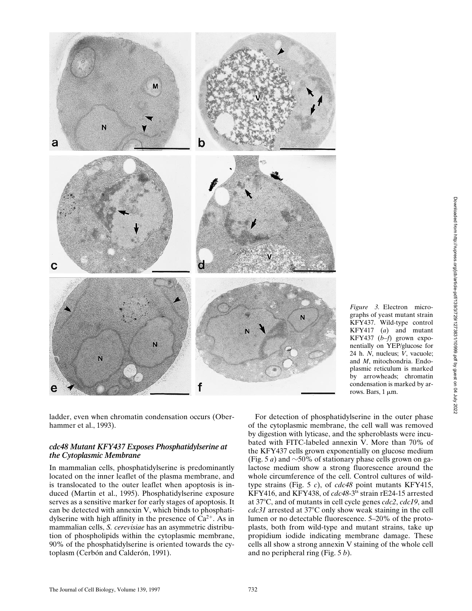

*Figure 3.* Electron micrographs of yeast mutant strain KFY437. Wild-type control KFY417 (*a*) and mutant KFY437 (*b–f*) grown exponentially on YEP/glucose for 24 h. *N*, nucleus; *V*, vacuole; and *M*, mitochondria. Endoplasmic reticulum is marked by arrowheads; chromatin condensation is marked by arrows. Bars,  $1 \mu m$ .

ladder, even when chromatin condensation occurs (Oberhammer et al., 1993).

### *cdc48 Mutant KFY437 Exposes Phosphatidylserine at the Cytoplasmic Membrane*

In mammalian cells, phosphatidylserine is predominantly located on the inner leaflet of the plasma membrane, and is translocated to the outer leaflet when apoptosis is induced (Martin et al., 1995). Phosphatidylserine exposure serves as a sensitive marker for early stages of apoptosis. It can be detected with annexin V, which binds to phosphatidylserine with high affinity in the presence of  $Ca^{2+}$ . As in mammalian cells, *S. cerevisiae* has an asymmetric distribution of phospholipids within the cytoplasmic membrane, 90% of the phosphatidylserine is oriented towards the cytoplasm (Cerbón and Calderón, 1991).

For detection of phosphatidylserine in the outer phase of the cytoplasmic membrane, the cell wall was removed by digestion with lyticase, and the spheroblasts were incubated with FITC-labeled annexin V. More than 70% of the KFY437 cells grown exponentially on glucose medium (Fig. 5 *a*) and  $\sim$  50% of stationary phase cells grown on galactose medium show a strong fluorescence around the whole circumference of the cell. Control cultures of wildtype strains (Fig. 5 *c*), of *cdc48* point mutants KFY415, KFY416, and KFY438, of *cdc48*-3ts strain rE24-15 arrested at 378C, and of mutants in cell cycle genes *cdc2*, *cdc19*, and *cdc31* arrested at 37°C only show weak staining in the cell lumen or no detectable fluorescence. 5–20% of the protoplasts, both from wild-type and mutant strains, take up propidium iodide indicating membrane damage. These cells all show a strong annexin V staining of the whole cell and no peripheral ring (Fig. 5 *b*).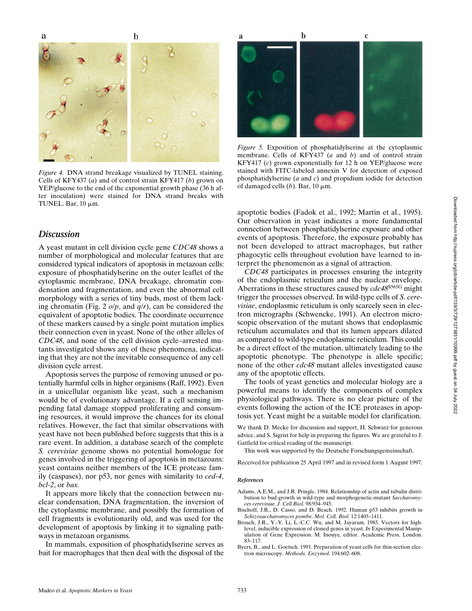b

a

 $\mathbf{c}$ 

b

*Figure 4.* DNA strand breakage visualized by TUNEL staining. Cells of KFY437 (*a*) and of control strain KFY417 (*b*) grown on YEP/glucose to the end of the exponential growth phase (36 h after inoculation) were stained for DNA strand breaks with TUNEL. Bar,  $10 \mu m$ .

## *Discussion*

A yeast mutant in cell division cycle gene *CDC48* shows a number of morphological and molecular features that are considered typical indicators of apoptosis in metazoan cells: exposure of phosphatidylserine on the outer leaflet of the cytoplasmic membrane, DNA breakage, chromatin condensation and fragmentation, and even the abnormal cell morphology with a series of tiny buds, most of them lacking chromatin (Fig. 2 *o*/*p*, and *q*/*r*), can be considered the equivalent of apoptotic bodies. The coordinate occurrence of these markers caused by a single point mutation implies their connection even in yeast. None of the other alleles of *CDC48*, and none of the cell division cycle–arrested mutants investigated shows any of these phenomena, indicating that they are not the inevitable consequence of any cell division cycle arrest.

Apoptosis serves the purpose of removing unused or potentially harmful cells in higher organisms (Raff, 1992). Even in a unicellular organism like yeast, such a mechanism would be of evolutionary advantage. If a cell sensing impending fatal damage stopped proliferating and consuming resources, it would improve the chances for its clonal relatives. However, the fact that similar observations with yeast have not been published before suggests that this is a rare event. In addition, a database search of the complete *S. cerevisiae* genome shows no potential homologue for genes involved in the triggering of apoptosis in metazoans: yeast contains neither members of the ICE protease family (caspases), nor p53, nor genes with similarity to *ced-4*, *bcl-2*, or *bax.*

It appears more likely that the connection between nuclear condensation, DNA fragmentation, the inversion of the cytoplasmic membrane, and possibly the formation of cell fragments is evolutionarily old, and was used for the development of apoptosis by linking it to signaling pathways in metazoan organisms.

In mammals, exposition of phosphatidylserine serves as bait for macrophages that then deal with the disposal of the



*Figure 5.* Exposition of phosphatidylserine at the cytoplasmic membrane. Cells of KFY437 (*a* and *b*) and of control strain KFY417 (*c*) grown exponentially for 12 h on YEP/glucose were stained with FITC-labeled annexin V for detection of exposed phosphatidylserine (*a* and *c*) and propidium iodide for detection of damaged cells  $(b)$ . Bar, 10  $\mu$ m.

apoptotic bodies (Fadok et al., 1992; Martin et al., 1995). Our observation in yeast indicates a more fundamental connection between phosphatidylserine exposure and other events of apoptosis. Therefore, the exposure probably has not been developed to attract macrophages, but rather phagocytic cells throughout evolution have learned to interpret the phenomenon as a signal of attraction.

*CDC48* participates in processes ensuring the integrity of the endoplasmic reticulum and the nuclear envelope. Aberrations in these structures caused by *cdc48*S565G might trigger the processes observed. In wild-type cells of *S. cerevisiae*, endoplasmic reticulum is only scarcely seen in electron micrographs (Schwencke, 1991). An electron microscopic observation of the mutant shows that endoplasmic reticulum accumulates and that its lumen appears dilated as compared to wild-type endoplasmic reticulum. This could be a direct effect of the mutation, ultimately leading to the apoptotic phenotype. The phenotype is allele specific; none of the other *cdc48* mutant alleles investigated cause any of the apoptotic effects.

The tools of yeast genetics and molecular biology are a powerful means to identify the components of complex physiological pathways. There is no clear picture of the events following the action of the ICE proteases in apoptosis yet. Yeast might be a suitable model for clarification.

We thank D. Mecke for discussion and support, H. Schwarz for generous advice, and S. Sigrist for help in preparing the figures. We are grateful to J. Gatfield for critical reading of the manuscript.

This work was supported by the Deutsche Forschungsgemeinschaft.

Received for publication 25 April 1997 and in revised form 1 August 1997.

#### *References*

- Adams, A.E.M., and J.R. Pringle. 1984. Relationship of actin and tubulin distribution to bud growth in wild-type and morphogenetic-mutant *Saccharomyces cerevisiae. J. Cell Biol.* 98:934–945.
- Bischoff, J.R., D. Casso, and D. Beach. 1992. Human p53 inhibits growth in *Schizosaccharomyces pombe. Mol. Cell. Biol.* 12:1405–1411.
- Broach, J.R., Y.-Y. Li, L.-C.C. Wu, and M. Jayaram. 1983. Vectors for highlevel, inducible expression of cloned genes in yeast. *In* Experimental Manipulation of Gene Expression. M. Inouye, editor. Academic Press, London. 83–117.
- Byers, B., and L. Goetsch. 1991. Preparation of yeast cells for thin-section electron microscopy. *Methods. Enzymol.* 194:602–608.